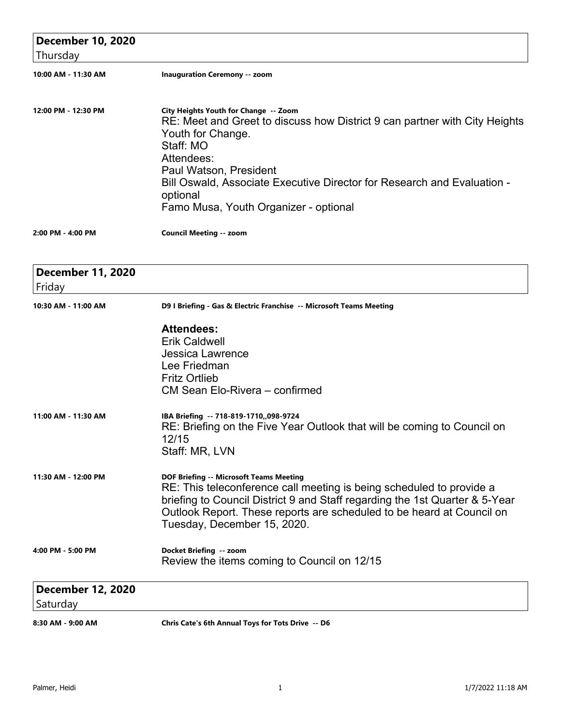| <b>December 10, 2020</b>             |                                                                                                                                                                                                                                                                                                                               |
|--------------------------------------|-------------------------------------------------------------------------------------------------------------------------------------------------------------------------------------------------------------------------------------------------------------------------------------------------------------------------------|
| Thursday                             |                                                                                                                                                                                                                                                                                                                               |
| 10:00 AM - 11:30 AM                  | <b>Inauguration Ceremony -- zoom</b>                                                                                                                                                                                                                                                                                          |
| 12:00 PM - 12:30 PM                  | City Heights Youth for Change -- Zoom<br>RE: Meet and Greet to discuss how District 9 can partner with City Heights<br>Youth for Change.<br>Staff: MO<br>Attendees:<br>Paul Watson, President<br>Bill Oswald, Associate Executive Director for Research and Evaluation -<br>optional<br>Famo Musa, Youth Organizer - optional |
| 2:00 PM - 4:00 PM                    | <b>Council Meeting -- zoom</b>                                                                                                                                                                                                                                                                                                |
| <b>December 11, 2020</b><br>Friday   |                                                                                                                                                                                                                                                                                                                               |
| 10:30 AM - 11:00 AM                  | D9 I Briefing - Gas & Electric Franchise -- Microsoft Teams Meeting                                                                                                                                                                                                                                                           |
|                                      | <b>Attendees:</b><br><b>Erik Caldwell</b><br><b>Jessica Lawrence</b><br>Lee Friedman<br><b>Fritz Ortlieb</b><br>CM Sean Elo-Rivera - confirmed                                                                                                                                                                                |
| 11:00 AM - 11:30 AM                  | IBA Briefing -- 718-819-1710,,098-9724<br>RE: Briefing on the Five Year Outlook that will be coming to Council on<br>12/15<br>Staff: MR, LVN                                                                                                                                                                                  |
| 11:30 AM - 12:00 PM                  | <b>DOF Briefing -- Microsoft Teams Meeting</b><br>RE: This teleconference call meeting is being scheduled to provide a<br>briefing to Council District 9 and Staff regarding the 1st Quarter & 5-Year<br>Outlook Report. These reports are scheduled to be heard at Council on<br>Tuesday, December 15, 2020.                 |
| 4:00 PM - 5:00 PM                    | Docket Briefing -- zoom<br>Review the items coming to Council on 12/15                                                                                                                                                                                                                                                        |
| <b>December 12, 2020</b><br>Saturday |                                                                                                                                                                                                                                                                                                                               |
| 8:30 AM - 9:00 AM                    | Chris Cate's 6th Annual Toys for Tots Drive -- D6                                                                                                                                                                                                                                                                             |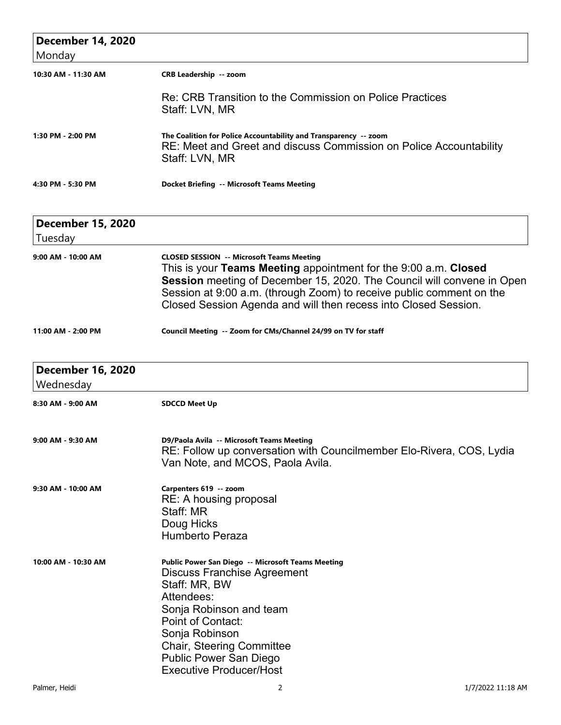| <b>December 14, 2020</b><br>Monday |                                                                                                                                                          |
|------------------------------------|----------------------------------------------------------------------------------------------------------------------------------------------------------|
| 10:30 AM - 11:30 AM                | <b>CRB Leadership -- zoom</b>                                                                                                                            |
|                                    | Re: CRB Transition to the Commission on Police Practices<br>Staff: LVN, MR                                                                               |
| 1:30 PM - 2:00 PM                  | The Coalition for Police Accountability and Transparency -- zoom<br>RE: Meet and Greet and discuss Commission on Police Accountability<br>Staff: LVN, MR |
| 4:30 PM - 5:30 PM                  | <b>Docket Briefing -- Microsoft Teams Meeting</b>                                                                                                        |

| <b>December 15, 2020</b> |                                                                                                                                                                                                                                                                                                                                          |
|--------------------------|------------------------------------------------------------------------------------------------------------------------------------------------------------------------------------------------------------------------------------------------------------------------------------------------------------------------------------------|
| Tuesday                  |                                                                                                                                                                                                                                                                                                                                          |
| 9:00 AM - 10:00 AM       | <b>CLOSED SESSION -- Microsoft Teams Meeting</b><br>This is your Teams Meeting appointment for the 9:00 a.m. Closed<br>Session meeting of December 15, 2020. The Council will convene in Open<br>Session at 9:00 a.m. (through Zoom) to receive public comment on the<br>Closed Session Agenda and will then recess into Closed Session. |
| 11:00 AM - 2:00 PM       | Council Meeting -- Zoom for CMs/Channel 24/99 on TV for staff                                                                                                                                                                                                                                                                            |

| <b>December 16, 2020</b> |                                                                                                                                                                                                                                                                                                 |
|--------------------------|-------------------------------------------------------------------------------------------------------------------------------------------------------------------------------------------------------------------------------------------------------------------------------------------------|
| Wednesday                |                                                                                                                                                                                                                                                                                                 |
| 8:30 AM - 9:00 AM        | <b>SDCCD Meet Up</b>                                                                                                                                                                                                                                                                            |
| 9:00 AM - 9:30 AM        | D9/Paola Avila -- Microsoft Teams Meeting<br>RE: Follow up conversation with Councilmember Elo-Rivera, COS, Lydia<br>Van Note, and MCOS, Paola Avila.                                                                                                                                           |
| 9:30 AM - 10:00 AM       | Carpenters 619 -- zoom<br>RE: A housing proposal<br>Staff: MR<br>Doug Hicks<br><b>Humberto Peraza</b>                                                                                                                                                                                           |
| 10:00 AM - 10:30 AM      | Public Power San Diego -- Microsoft Teams Meeting<br><b>Discuss Franchise Agreement</b><br>Staff: MR, BW<br>Attendees:<br>Sonja Robinson and team<br>Point of Contact:<br>Sonja Robinson<br><b>Chair, Steering Committee</b><br><b>Public Power San Diego</b><br><b>Executive Producer/Host</b> |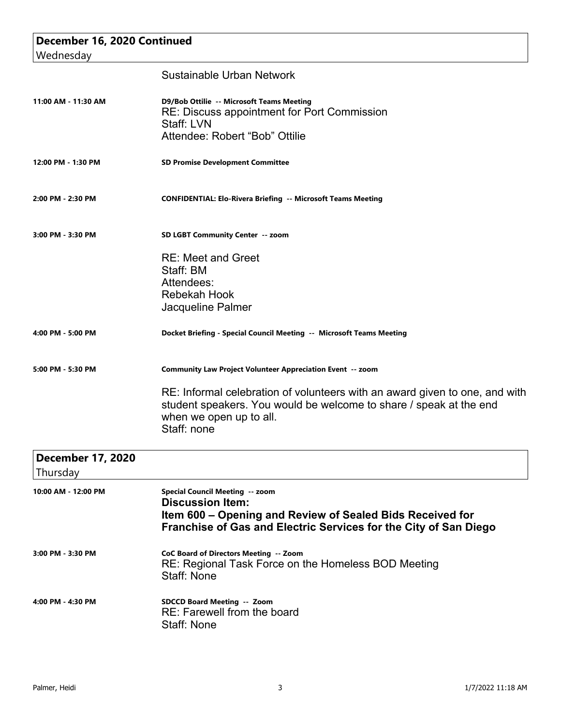| December 16, 2020 Continued |                                                                                                                                                                                             |
|-----------------------------|---------------------------------------------------------------------------------------------------------------------------------------------------------------------------------------------|
| Wednesday                   |                                                                                                                                                                                             |
|                             | Sustainable Urban Network                                                                                                                                                                   |
| 11:00 AM - 11:30 AM         | D9/Bob Ottilie -- Microsoft Teams Meeting<br>RE: Discuss appointment for Port Commission<br>Staff: LVN                                                                                      |
|                             | Attendee: Robert "Bob" Ottilie                                                                                                                                                              |
| 12:00 PM - 1:30 PM          | <b>SD Promise Development Committee</b>                                                                                                                                                     |
| 2:00 PM - 2:30 PM           | <b>CONFIDENTIAL: Elo-Rivera Briefing -- Microsoft Teams Meeting</b>                                                                                                                         |
| 3:00 PM - 3:30 PM           | SD LGBT Community Center -- zoom                                                                                                                                                            |
|                             | <b>RE: Meet and Greet</b>                                                                                                                                                                   |
|                             | Staff: BM                                                                                                                                                                                   |
|                             | Attendees:                                                                                                                                                                                  |
|                             | <b>Rebekah Hook</b>                                                                                                                                                                         |
|                             | Jacqueline Palmer                                                                                                                                                                           |
| 4:00 PM - 5:00 PM           | Docket Briefing - Special Council Meeting -- Microsoft Teams Meeting                                                                                                                        |
| 5:00 PM - 5:30 PM           | <b>Community Law Project Volunteer Appreciation Event -- zoom</b>                                                                                                                           |
|                             | RE: Informal celebration of volunteers with an award given to one, and with<br>student speakers. You would be welcome to share / speak at the end<br>when we open up to all.<br>Staff: none |
| <b>December 17, 2020</b>    |                                                                                                                                                                                             |
| Thursday                    |                                                                                                                                                                                             |
| 10:00 AM - 12:00 PM         | Special Council Meeting -- zoom<br><b>Discussion Item:</b><br>Item 600 – Opening and Review of Sealed Bids Received for<br>Franchise of Gas and Electric Services for the City of San Diego |
| 3:00 PM - 3:30 PM           | CoC Board of Directors Meeting -- Zoom<br>RE: Regional Task Force on the Homeless BOD Meeting<br>Staff: None                                                                                |
|                             |                                                                                                                                                                                             |

**4:00 PM - 4:30 PM SDCCD Board Meeting -- Zoom** RE: Farewell from the board Staff: None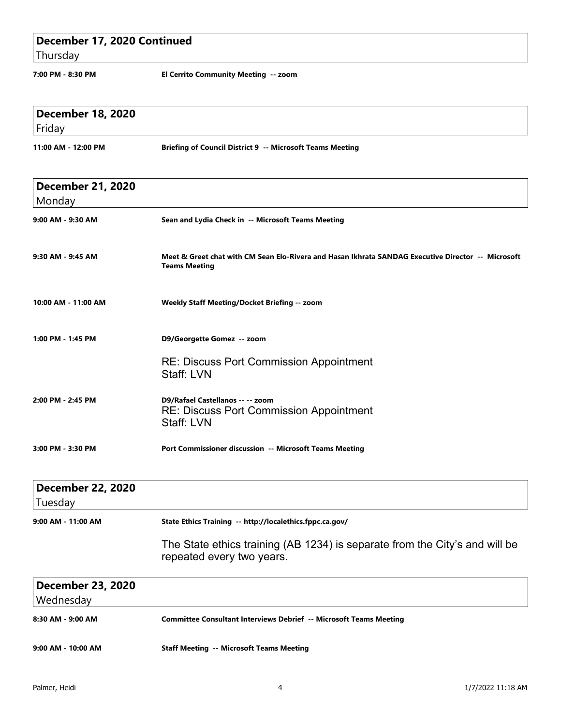| December 17, 2020 Continued         |                                                                                                                            |
|-------------------------------------|----------------------------------------------------------------------------------------------------------------------------|
| Thursday                            |                                                                                                                            |
| 7:00 PM - 8:30 PM                   | El Cerrito Community Meeting -- zoom                                                                                       |
| <b>December 18, 2020</b><br>Friday  |                                                                                                                            |
| 11:00 AM - 12:00 PM                 | <b>Briefing of Council District 9 -- Microsoft Teams Meeting</b>                                                           |
| <b>December 21, 2020</b><br>Monday  |                                                                                                                            |
| 9:00 AM - 9:30 AM                   | Sean and Lydia Check in -- Microsoft Teams Meeting                                                                         |
| 9:30 AM - 9:45 AM                   | Meet & Greet chat with CM Sean Elo-Rivera and Hasan Ikhrata SANDAG Executive Director -- Microsoft<br><b>Teams Meeting</b> |
| 10:00 AM - 11:00 AM                 | Weekly Staff Meeting/Docket Briefing -- zoom                                                                               |
| 1:00 PM - 1:45 PM                   | D9/Georgette Gomez -- zoom                                                                                                 |
|                                     | <b>RE: Discuss Port Commission Appointment</b><br>Staff: LVN                                                               |
| 2:00 PM - 2:45 PM                   | D9/Rafael Castellanos -- -- zoom<br><b>RE: Discuss Port Commission Appointment</b><br>Staff: LVN                           |
| 3:00 PM - 3:30 PM                   | Port Commissioner discussion -- Microsoft Teams Meeting                                                                    |
| <b>December 22, 2020</b><br>Tuesday |                                                                                                                            |
| 9:00 AM - 11:00 AM                  | State Ethics Training -- http://localethics.fppc.ca.gov/                                                                   |

The State ethics training (AB 1234) is separate from the City's and will be repeated every two years.

| <b>December 23, 2020</b> |                                                                    |
|--------------------------|--------------------------------------------------------------------|
| Wednesday                |                                                                    |
| 8:30 AM - 9:00 AM        | Committee Consultant Interviews Debrief -- Microsoft Teams Meeting |
|                          |                                                                    |
| 9:00 AM - 10:00 AM       | <b>Staff Meeting -- Microsoft Teams Meeting</b>                    |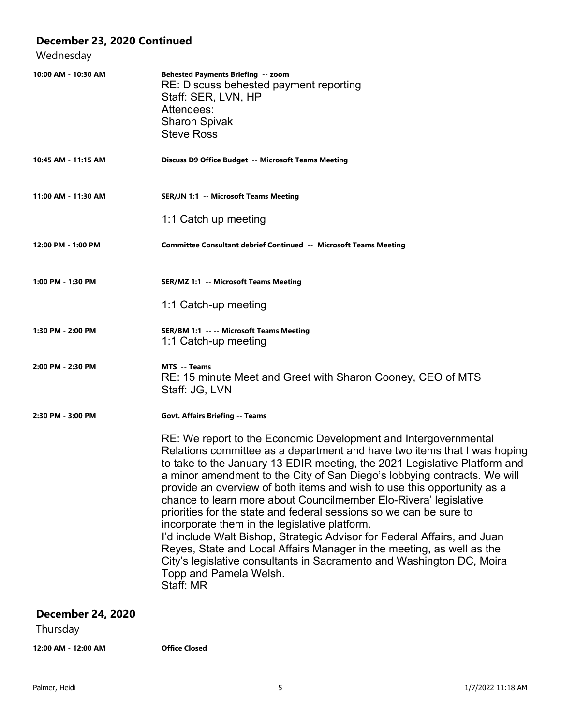| December 23, 2020 Continued<br>Wednesday |                                                                                                                                                                                                                                                                                                                                                                                                                                                                                                                                                                                                                                                                                                                                                                                                                                                 |
|------------------------------------------|-------------------------------------------------------------------------------------------------------------------------------------------------------------------------------------------------------------------------------------------------------------------------------------------------------------------------------------------------------------------------------------------------------------------------------------------------------------------------------------------------------------------------------------------------------------------------------------------------------------------------------------------------------------------------------------------------------------------------------------------------------------------------------------------------------------------------------------------------|
| 10:00 AM - 10:30 AM                      | <b>Behested Payments Briefing -- zoom</b><br>RE: Discuss behested payment reporting<br>Staff: SER, LVN, HP<br>Attendees:<br><b>Sharon Spivak</b><br><b>Steve Ross</b>                                                                                                                                                                                                                                                                                                                                                                                                                                                                                                                                                                                                                                                                           |
| 10:45 AM - 11:15 AM                      | Discuss D9 Office Budget -- Microsoft Teams Meeting                                                                                                                                                                                                                                                                                                                                                                                                                                                                                                                                                                                                                                                                                                                                                                                             |
| 11:00 AM - 11:30 AM                      | <b>SER/JN 1:1 -- Microsoft Teams Meeting</b>                                                                                                                                                                                                                                                                                                                                                                                                                                                                                                                                                                                                                                                                                                                                                                                                    |
|                                          | 1:1 Catch up meeting                                                                                                                                                                                                                                                                                                                                                                                                                                                                                                                                                                                                                                                                                                                                                                                                                            |
| 12:00 PM - 1:00 PM                       | Committee Consultant debrief Continued -- Microsoft Teams Meeting                                                                                                                                                                                                                                                                                                                                                                                                                                                                                                                                                                                                                                                                                                                                                                               |
| 1:00 PM - 1:30 PM                        | SER/MZ 1:1 -- Microsoft Teams Meeting                                                                                                                                                                                                                                                                                                                                                                                                                                                                                                                                                                                                                                                                                                                                                                                                           |
|                                          | 1:1 Catch-up meeting                                                                                                                                                                                                                                                                                                                                                                                                                                                                                                                                                                                                                                                                                                                                                                                                                            |
| 1:30 PM - 2:00 PM                        | SER/BM 1:1 -- -- Microsoft Teams Meeting<br>1:1 Catch-up meeting                                                                                                                                                                                                                                                                                                                                                                                                                                                                                                                                                                                                                                                                                                                                                                                |
| 2:00 PM - 2:30 PM                        | <b>MTS</b> -- Teams<br>RE: 15 minute Meet and Greet with Sharon Cooney, CEO of MTS<br>Staff: JG, LVN                                                                                                                                                                                                                                                                                                                                                                                                                                                                                                                                                                                                                                                                                                                                            |
| 2:30 PM - 3:00 PM                        | <b>Govt. Affairs Briefing -- Teams</b>                                                                                                                                                                                                                                                                                                                                                                                                                                                                                                                                                                                                                                                                                                                                                                                                          |
|                                          | RE: We report to the Economic Development and Intergovernmental<br>Relations committee as a department and have two items that I was hoping<br>to take to the January 13 EDIR meeting, the 2021 Legislative Platform and<br>a minor amendment to the City of San Diego's lobbying contracts. We will<br>provide an overview of both items and wish to use this opportunity as a<br>chance to learn more about Councilmember Elo-Rivera' legislative<br>priorities for the state and federal sessions so we can be sure to<br>incorporate them in the legislative platform.<br>I'd include Walt Bishop, Strategic Advisor for Federal Affairs, and Juan<br>Reyes, State and Local Affairs Manager in the meeting, as well as the<br>City's legislative consultants in Sacramento and Washington DC, Moira<br>Topp and Pamela Welsh.<br>Staff: MR |

## **December 24, 2020**

Thursday

**12:00 AM - 12:00 AM Office Closed**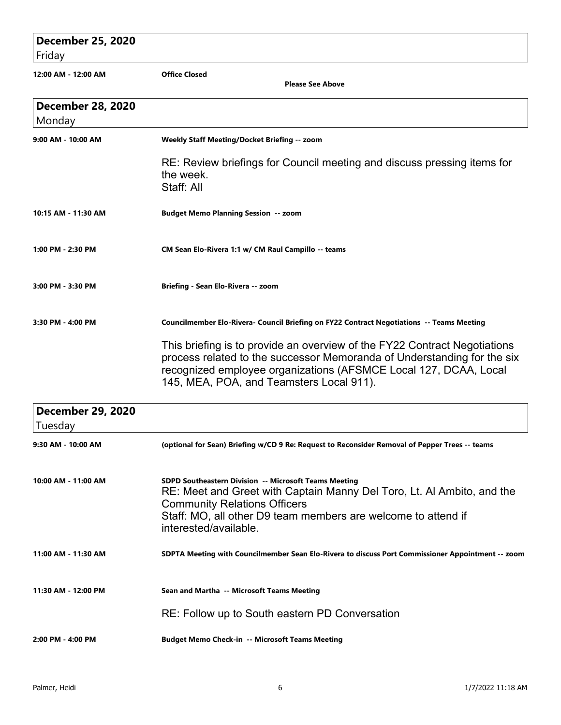## **December 25, 2020** Friday **12:00 AM - 12:00 AM Office Closed Please See Above December 28, 2020** Monday **9:00 AM - 10:00 AM Weekly Staff Meeting/Docket Briefing -- zoom** RE: Review briefings for Council meeting and discuss pressing items for the week. Staff: All **10:15 AM - 11:30 AM Budget Memo Planning Session -- zoom 1:00 PM - 2:30 PM CM Sean Elo-Rivera 1:1 w/ CM Raul Campillo -- teams 3:00 PM - 3:30 PM Briefing - Sean Elo-Rivera -- zoom 3:30 PM - 4:00 PM Councilmember Elo-Rivera- Council Briefing on FY22 Contract Negotiations -- Teams Meeting** This briefing is to provide an overview of the FY22 Contract Negotiations process related to the successor Memoranda of Understanding for the six recognized employee organizations (AFSMCE Local 127, DCAA, Local 145, MEA, POA, and Teamsters Local 911).  **December 29, 2020** Tuesday **9:30 AM - 10:00 AM (optional for Sean) Briefing w/CD 9 Re: Request to Reconsider Removal of Pepper Trees -- teams 10:00 AM - 11:00 AM SDPD Southeastern Division -- Microsoft Teams Meeting** RE: Meet and Greet with Captain Manny Del Toro, Lt. Al Ambito, and the Community Relations Officers Staff: MO, all other D9 team members are welcome to attend if interested/available. **11:00 AM - 11:30 AM SDPTA Meeting with Councilmember Sean Elo-Rivera to discuss Port Commissioner Appointment -- zoom 11:30 AM - 12:00 PM Sean and Martha -- Microsoft Teams Meeting** RE: Follow up to South eastern PD Conversation

**2:00 PM - 4:00 PM Budget Memo Check-in -- Microsoft Teams Meeting**